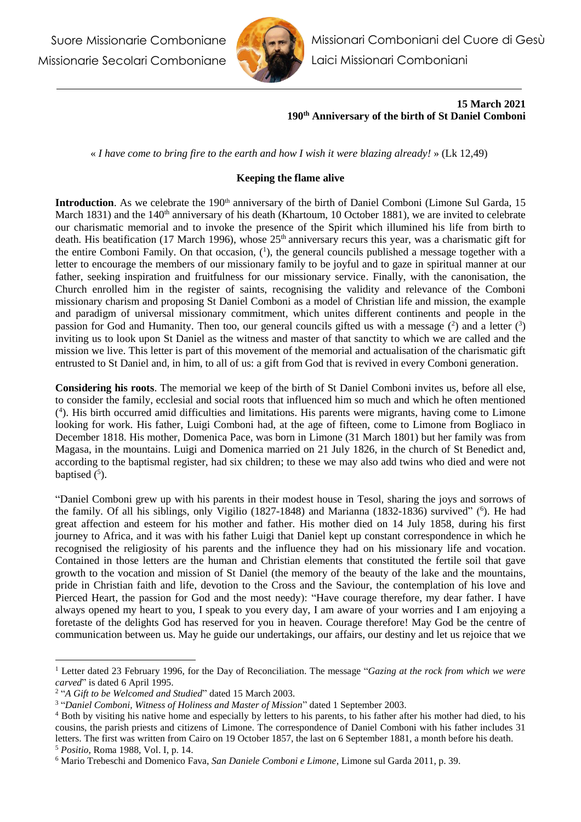

## **15 March 2021 190th Anniversary of the birth of St Daniel Comboni**

« *I have come to bring fire to the earth and how I wish it were blazing already!* » (Lk 12,49)

## **Keeping the flame alive**

**Introduction**. As we celebrate the 190<sup>th</sup> anniversary of the birth of Daniel Comboni (Limone Sul Garda, 15 March 1831) and the 140<sup>th</sup> anniversary of his death (Khartoum, 10 October 1881), we are invited to celebrate our charismatic memorial and to invoke the presence of the Spirit which illumined his life from birth to death. His beatification (17 March 1996), whose  $25<sup>th</sup>$  anniversary recurs this year, was a charismatic gift for the entire Comboni Family. On that occasion, ( 1 ), the general councils published a message together with a letter to encourage the members of our missionary family to be joyful and to gaze in spiritual manner at our father, seeking inspiration and fruitfulness for our missionary service. Finally, with the canonisation, the Church enrolled him in the register of saints, recognising the validity and relevance of the Comboni missionary charism and proposing St Daniel Comboni as a model of Christian life and mission, the example and paradigm of universal missionary commitment, which unites different continents and people in the passion for God and Humanity. Then too, our general councils gifted us with a message  $(2)$  and a letter  $(3)$ inviting us to look upon St Daniel as the witness and master of that sanctity to which we are called and the mission we live. This letter is part of this movement of the memorial and actualisation of the charismatic gift entrusted to St Daniel and, in him, to all of us: a gift from God that is revived in every Comboni generation.

**Considering his roots**. The memorial we keep of the birth of St Daniel Comboni invites us, before all else, to consider the family, ecclesial and social roots that influenced him so much and which he often mentioned ( 4 ). His birth occurred amid difficulties and limitations. His parents were migrants, having come to Limone looking for work. His father, Luigi Comboni had, at the age of fifteen, come to Limone from Bogliaco in December 1818. His mother, Domenica Pace, was born in Limone (31 March 1801) but her family was from Magasa, in the mountains. Luigi and Domenica married on 21 July 1826, in the church of St Benedict and, according to the baptismal register, had six children; to these we may also add twins who died and were not baptised  $(5)$ .

"Daniel Comboni grew up with his parents in their modest house in Tesol, sharing the joys and sorrows of the family. Of all his siblings, only Vigilio (1827-1848) and Marianna (1832-1836) survived" (6). He had great affection and esteem for his mother and father. His mother died on 14 July 1858, during his first journey to Africa, and it was with his father Luigi that Daniel kept up constant correspondence in which he recognised the religiosity of his parents and the influence they had on his missionary life and vocation. Contained in those letters are the human and Christian elements that constituted the fertile soil that gave growth to the vocation and mission of St Daniel (the memory of the beauty of the lake and the mountains, pride in Christian faith and life, devotion to the Cross and the Saviour, the contemplation of his love and Pierced Heart, the passion for God and the most needy): "Have courage therefore, my dear father. I have always opened my heart to you, I speak to you every day, I am aware of your worries and I am enjoying a foretaste of the delights God has reserved for you in heaven. Courage therefore! May God be the centre of communication between us. May he guide our undertakings, our affairs, our destiny and let us rejoice that we

 $\overline{a}$ 

<sup>1</sup> Letter dated 23 February 1996, for the Day of Reconciliation. The message "*Gazing at the rock from which we were carved*" is dated 6 April 1995.

<sup>2</sup> "*A Gift to be Welcomed and Studied*" dated 15 March 2003.

<sup>3</sup> "*Daniel Comboni, Witness of Holiness and Master of Mission*" dated 1 September 2003.

<sup>4</sup> Both by visiting his native home and especially by letters to his parents, to his father after his mother had died, to his cousins, the parish priests and citizens of Limone. The correspondence of Daniel Comboni with his father includes 31 letters. The first was written from Cairo on 19 October 1857, the last on 6 September 1881, a month before his death. <sup>5</sup> *Positio*, Roma 1988, Vol. I, p. 14.

<sup>6</sup> Mario Trebeschi and Domenico Fava, *San Daniele Comboni e Limone*, Limone sul Garda 2011, p. 39.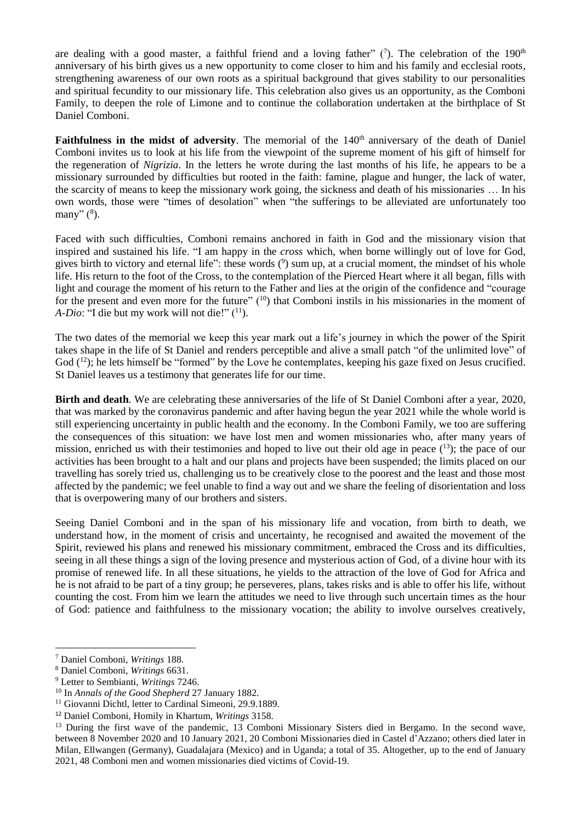are dealing with a good master, a faithful friend and a loving father" ( $\degree$ ). The celebration of the 190<sup>th</sup> anniversary of his birth gives us a new opportunity to come closer to him and his family and ecclesial roots, strengthening awareness of our own roots as a spiritual background that gives stability to our personalities and spiritual fecundity to our missionary life. This celebration also gives us an opportunity, as the Comboni Family, to deepen the role of Limone and to continue the collaboration undertaken at the birthplace of St Daniel Comboni.

**Faithfulness in the midst of adversity**. The memorial of the 140<sup>th</sup> anniversary of the death of Daniel Comboni invites us to look at his life from the viewpoint of the supreme moment of his gift of himself for the regeneration of *Nigrizia*. In the letters he wrote during the last months of his life, he appears to be a missionary surrounded by difficulties but rooted in the faith: famine, plague and hunger, the lack of water, the scarcity of means to keep the missionary work going, the sickness and death of his missionaries … In his own words, those were "times of desolation" when "the sufferings to be alleviated are unfortunately too many" ( $^8$ ).

Faced with such difficulties, Comboni remains anchored in faith in God and the missionary vision that inspired and sustained his life. "I am happy in the *cross* which, when borne willingly out of love for God, gives birth to victory and eternal life": these words  $(9)$  sum up, at a crucial moment, the mindset of his whole life. His return to the foot of the Cross, to the contemplation of the Pierced Heart where it all began, fills with light and courage the moment of his return to the Father and lies at the origin of the confidence and "courage for the present and even more for the future" (<sup>10</sup>) that Comboni instils in his missionaries in the moment of *A-Dio*: "I die but my work will not die!" (<sup>11</sup>).

The two dates of the memorial we keep this year mark out a life's journey in which the power of the Spirit takes shape in the life of St Daniel and renders perceptible and alive a small patch "of the unlimited love" of God  $(1^2)$ ; he lets himself be "formed" by the Love he contemplates, keeping his gaze fixed on Jesus crucified. St Daniel leaves us a testimony that generates life for our time.

**Birth and death**. We are celebrating these anniversaries of the life of St Daniel Comboni after a year, 2020, that was marked by the coronavirus pandemic and after having begun the year 2021 while the whole world is still experiencing uncertainty in public health and the economy. In the Comboni Family, we too are suffering the consequences of this situation: we have lost men and women missionaries who, after many years of mission, enriched us with their testimonies and hoped to live out their old age in peace  $(^{13})$ ; the pace of our activities has been brought to a halt and our plans and projects have been suspended; the limits placed on our travelling has sorely tried us, challenging us to be creatively close to the poorest and the least and those most affected by the pandemic; we feel unable to find a way out and we share the feeling of disorientation and loss that is overpowering many of our brothers and sisters.

Seeing Daniel Comboni and in the span of his missionary life and vocation, from birth to death, we understand how, in the moment of crisis and uncertainty, he recognised and awaited the movement of the Spirit, reviewed his plans and renewed his missionary commitment, embraced the Cross and its difficulties, seeing in all these things a sign of the loving presence and mysterious action of God, of a divine hour with its promise of renewed life. In all these situations, he yields to the attraction of the love of God for Africa and he is not afraid to be part of a tiny group; he perseveres, plans, takes risks and is able to offer his life, without counting the cost. From him we learn the attitudes we need to live through such uncertain times as the hour of God: patience and faithfulness to the missionary vocation; the ability to involve ourselves creatively,

l

<sup>7</sup> Daniel Comboni, *Writings* 188.

<sup>8</sup> Daniel Comboni, *Writings* 6631.

<sup>9</sup> Letter to Sembianti, *Writings* 7246.

<sup>10</sup> In *Annals of the Good Shepherd* 27 January 1882.

<sup>11</sup> Giovanni Dichtl, letter to Cardinal Simeoni, 29.9.1889.

<sup>12</sup> Daniel Comboni, Homily in Khartum, *Writings* 3158.

<sup>&</sup>lt;sup>13</sup> During the first wave of the pandemic, 13 Comboni Missionary Sisters died in Bergamo. In the second wave, between 8 November 2020 and 10 January 2021, 20 Comboni Missionaries died in Castel d'Azzano; others died later in Milan, Ellwangen (Germany), Guadalajara (Mexico) and in Uganda; a total of 35. Altogether, up to the end of January 2021, 48 Comboni men and women missionaries died victims of Covid-19.